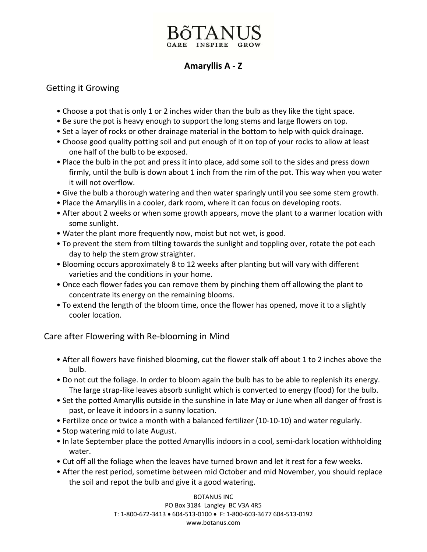## **Amaryllis A ‐ Z**

## Getting it Growing

- Choose a pot that is only 1 or 2 inches wider than the bulb as they like the tight space.
- Be sure the pot is heavy enough to support the long stems and large flowers on top.
- Set a layer of rocks or other drainage material in the bottom to help with quick drainage.
- Choose good quality potting soil and put enough of it on top of your rocks to allow at least one half of the bulb to be exposed.
- Place the bulb in the pot and press it into place, add some soil to the sides and press down firmly, until the bulb is down about 1 inch from the rim of the pot. This way when you water it will not overflow.
- Give the bulb a thorough watering and then water sparingly until you see some stem growth.
- Place the Amaryllis in a cooler, dark room, where it can focus on developing roots.
- After about 2 weeks or when some growth appears, move the plant to a warmer location with some sunlight.
- Water the plant more frequently now, moist but not wet, is good.
- To prevent the stem from tilting towards the sunlight and toppling over, rotate the pot each day to help the stem grow straighter.
- Blooming occurs approximately 8 to 12 weeks after planting but will vary with different varieties and the conditions in your home.
- Once each flower fades you can remove them by pinching them off allowing the plant to concentrate its energy on the remaining blooms.
- To extend the length of the bloom time, once the flower has opened, move it to a slightly cooler location.

Care after Flowering with Re‐blooming in Mind

- After all flowers have finished blooming, cut the flower stalk off about 1 to 2 inches above the bulb.
- Do not cut the foliage. In order to bloom again the bulb has to be able to replenish its energy. The large strap-like leaves absorb sunlight which is converted to energy (food) for the bulb.
- Set the potted Amaryllis outside in the sunshine in late May or June when all danger of frost is past, or leave it indoors in a sunny location.
- Fertilize once or twice a month with a balanced fertilizer (10‐10‐10) and water regularly.
- Stop watering mid to late August.
- In late September place the potted Amaryllis indoors in a cool, semi-dark location withholding water.
- Cut off all the foliage when the leaves have turned brown and let it rest for a few weeks.
- After the rest period, sometime between mid October and mid November, you should replace the soil and repot the bulb and give it a good watering.

BOTANUS INC PO Box 3184 Langley BC V3A 4R5 T: 1‐800‐672‐3413 • 604‐513‐0100 • F: 1‐800‐603‐3677 604‐513‐0192 www.botanus.com